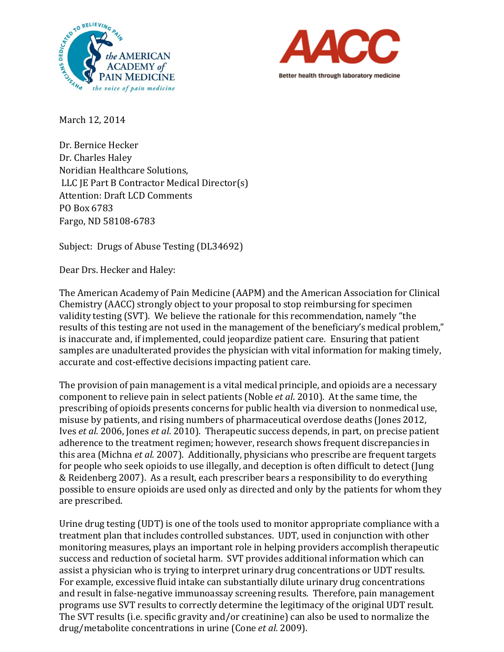



March 12, 2014

Dr. Bernice Hecker Dr. Charles Haley Noridian Healthcare Solutions, LLC JE Part B Contractor Medical Director(s) Attention: Draft LCD Comments PO Box 6783 Fargo, ND 58108-6783

Subject: Drugs of Abuse Testing (DL34692)

Dear Drs. Hecker and Haley:

The American Academy of Pain Medicine (AAPM) and the American Association for Clinical Chemistry (AACC) strongly object to your proposal to stop reimbursing for specimen validity testing (SVT). We believe the rationale for this recommendation, namely "the results of this testing are not used in the management of the beneficiary's medical problem," is inaccurate and, if implemented, could jeopardize patient care. Ensuring that patient samples are unadulterated provides the physician with vital information for making timely, accurate and cost-effective decisions impacting patient care.

The provision of pain management is a vital medical principle, and opioids are a necessary component to relieve pain in select patients (Noble *et al*. 2010). At the same time, the prescribing of opioids presents concerns for public health via diversion to nonmedical use, misuse by patients, and rising numbers of pharmaceutical overdose deaths (Jones 2012, Ives *et al.* 2006, Jones *et al*. 2010). Therapeutic success depends, in part, on precise patient adherence to the treatment regimen; however, research shows frequent discrepancies in this area (Michna *et al.* 2007). Additionally, physicians who prescribe are frequent targets for people who seek opioids to use illegally, and deception is often difficult to detect (Jung & Reidenberg 2007). As a result, each prescriber bears a responsibility to do everything possible to ensure opioids are used only as directed and only by the patients for whom they are prescribed.

Urine drug testing (UDT) is one of the tools used to monitor appropriate compliance with a treatment plan that includes controlled substances. UDT, used in conjunction with other monitoring measures, plays an important role in helping providers accomplish therapeutic success and reduction of societal harm. SVT provides additional information which can assist a physician who is trying to interpret urinary drug concentrations or UDT results. For example, excessive fluid intake can substantially dilute urinary drug concentrations and result in false-negative immunoassay screening results. Therefore, pain management programs use SVT results to correctly determine the legitimacy of the original UDT result. The SVT results (i.e. specific gravity and/or creatinine) can also be used to normalize the drug/metabolite concentrations in urine (Cone *et al.* 2009).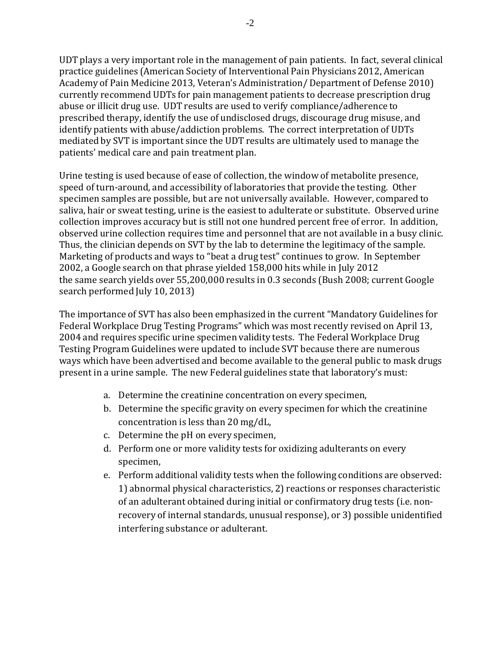UDT plays a very important role in the management of pain patients. In fact, several clinical practice guidelines (American Society of Interventional Pain Physicians 2012, American Academy of Pain Medicine 2013, Veteran's Administration/ Department of Defense 2010) currently recommend UDTs for pain management patients to decrease prescription drug abuse or illicit drug use. UDT results are used to verify compliance/adherence to prescribed therapy, identify the use of undisclosed drugs, discourage drug misuse, and identify patients with abuse/addiction problems. The correct interpretation of UDTs mediated by SVT is important since the UDT results are ultimately used to manage the patients' medical care and pain treatment plan.

Urine testing is used because of ease of collection, the window of metabolite presence, speed of turn-around, and accessibility of laboratories that provide the testing. Other specimen samples are possible, but are not universally available. However, compared to saliva, hair or sweat testing, urine is the easiest to adulterate or substitute. Observed urine collection improves accuracy but is still not one hundred percent free of error. In addition, observed urine collection requires time and personnel that are not available in a busy clinic. Thus, the clinician depends on SVT by the lab to determine the legitimacy of the sample. Marketing of products and ways to "beat a drug test" continues to grow. In September 2002, a Google search on that phrase yielded 158,000 hits while in July 2012 the same search yields over 55,200,000 results in 0.3 seconds (Bush 2008; current Google search performed July 10, 2013)

The importance of SVT has also been emphasized in the current "Mandatory Guidelines for Federal Workplace Drug Testing Programs" which was most recently revised on April 13, 2004 and requires specific urine specimen validity tests. The Federal Workplace Drug Testing Program Guidelines were updated to include SVT because there are numerous ways which have been advertised and become available to the general public to mask drugs present in a urine sample. The new Federal guidelines state that laboratory's must:

- a. Determine the creatinine concentration on every specimen,
- b. Determine the specific gravity on every specimen for which the creatinine concentration is less than 20 mg/dL,
- c. Determine the pH on every specimen,
- d. Perform one or more validity tests for oxidizing adulterants on every specimen,
- e. Perform additional validity tests when the following conditions are observed: 1) abnormal physical characteristics, 2) reactions or responses characteristic of an adulterant obtained during initial or confirmatory drug tests (i.e. nonrecovery of internal standards, unusual response), or 3) possible unidentified interfering substance or adulterant.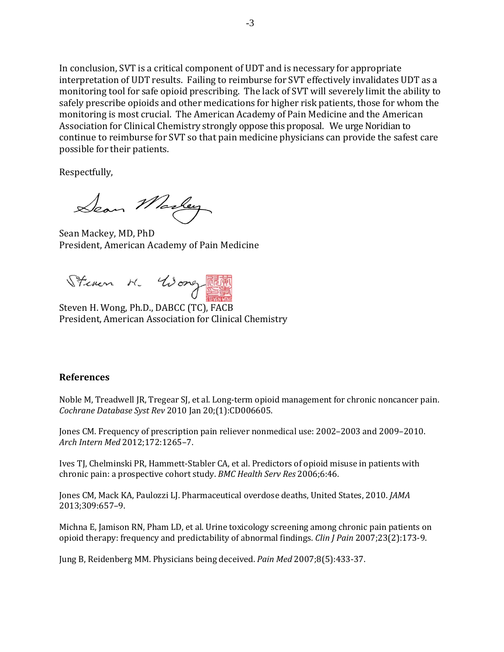In conclusion, SVT is a critical component of UDT and is necessary for appropriate interpretation of UDT results. Failing to reimburse for SVT effectively invalidates UDT as a monitoring tool for safe opioid prescribing. The lack of SVT will severely limit the ability to safely prescribe opioids and other medications for higher risk patients, those for whom the monitoring is most crucial. The American Academy of Pain Medicine and the American Association for Clinical Chemistry strongly oppose this proposal. We urge Noridian to continue to reimburse for SVT so that pain medicine physicians can provide the safest care possible for their patients.

Respectfully,

Sean Markey

Sean Mackey, MD, PhD President, American Academy of Pain Medicine

Steven H. Woney TEST

Steven H. Wong, Ph.D., DABCC (TC), FACB President, American Association for Clinical Chemistry

## **References**

Noble M, Treadwell JR, Tregear SJ, et al. Long-term opioid management for chronic noncancer pain. *Cochrane Database Syst Rev* 2010 Jan 20;(1):CD006605.

Jones CM. Frequency of prescription pain reliever nonmedical use: 2002–2003 and 2009–2010. *Arch Intern Med* 2012;172:1265–7.

Ives TJ, Chelminski PR, Hammett-Stabler CA, et al. Predictors of opioid misuse in patients with chronic pain: a prospective cohort study. *BMC Health Serv Res* 2006;6:46.

Jones CM, Mack KA, Paulozzi LJ. Pharmaceutical overdose deaths, United States, 2010. *JAMA* 2013;309:657–9.

Michna E, Jamison RN, Pham LD, et al. Urine toxicology screening among chronic pain patients on opioid therapy: frequency and predictability of abnormal findings. *Clin J Pain* 2007;23(2):173-9.

Jung B, Reidenberg MM. Physicians being deceived. *Pain Med* 2007;8(5):433-37.